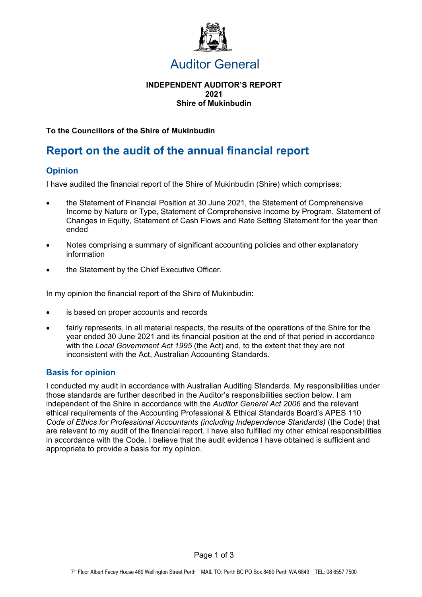

# Auditor General

#### **INDEPENDENT AUDITOR'S REPORT 2021 Shire of Mukinbudin**

**To the Councillors of the Shire of Mukinbudin**

## **Report on the audit of the annual financial report**

## **Opinion**

I have audited the financial report of the Shire of Mukinbudin (Shire) which comprises:

- the Statement of Financial Position at 30 June 2021, the Statement of Comprehensive Income by Nature or Type, Statement of Comprehensive Income by Program, Statement of Changes in Equity, Statement of Cash Flows and Rate Setting Statement for the year then ended
- Notes comprising a summary of significant accounting policies and other explanatory information
- the Statement by the Chief Executive Officer.

In my opinion the financial report of the Shire of Mukinbudin:

- is based on proper accounts and records
- fairly represents, in all material respects, the results of the operations of the Shire for the year ended 30 June 2021 and its financial position at the end of that period in accordance with the *Local Government Act 1995* (the Act) and, to the extent that they are not inconsistent with the Act, Australian Accounting Standards.

### **Basis for opinion**

I conducted my audit in accordance with Australian Auditing Standards. My responsibilities under those standards are further described in the Auditor's responsibilities section below. I am independent of the Shire in accordance with the *Auditor General Act 2006* and the relevant ethical requirements of the Accounting Professional & Ethical Standards Board's APES 110 *Code of Ethics for Professional Accountants (including Independence Standards)* (the Code) that are relevant to my audit of the financial report. I have also fulfilled my other ethical responsibilities in accordance with the Code. I believe that the audit evidence I have obtained is sufficient and appropriate to provide a basis for my opinion.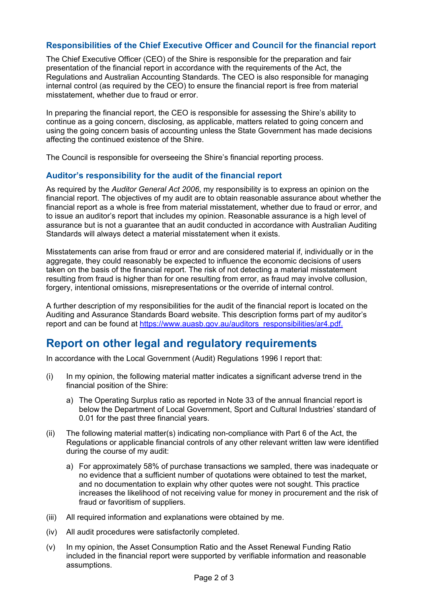## **Responsibilities of the Chief Executive Officer and Council for the financial report**

The Chief Executive Officer (CEO) of the Shire is responsible for the preparation and fair presentation of the financial report in accordance with the requirements of the Act, the Regulations and Australian Accounting Standards. The CEO is also responsible for managing internal control (as required by the CEO) to ensure the financial report is free from material misstatement, whether due to fraud or error.

In preparing the financial report, the CEO is responsible for assessing the Shire's ability to continue as a going concern, disclosing, as applicable, matters related to going concern and using the going concern basis of accounting unless the State Government has made decisions affecting the continued existence of the Shire.

The Council is responsible for overseeing the Shire's financial reporting process.

### **Auditor's responsibility for the audit of the financial report**

As required by the *Auditor General Act 2006*, my responsibility is to express an opinion on the financial report. The objectives of my audit are to obtain reasonable assurance about whether the financial report as a whole is free from material misstatement, whether due to fraud or error, and to issue an auditor's report that includes my opinion. Reasonable assurance is a high level of assurance but is not a guarantee that an audit conducted in accordance with Australian Auditing Standards will always detect a material misstatement when it exists.

Misstatements can arise from fraud or error and are considered material if, individually or in the aggregate, they could reasonably be expected to influence the economic decisions of users taken on the basis of the financial report. The risk of not detecting a material misstatement resulting from fraud is higher than for one resulting from error, as fraud may involve collusion, forgery, intentional omissions, misrepresentations or the override of internal control.

A further description of my responsibilities for the audit of the financial report is located on the Auditing and Assurance Standards Board website. This description forms part of my auditor's report and can be found at https://www.auasb.gov.au/auditors\_responsibilities/ar4.pdf.

## **Report on other legal and regulatory requirements**

In accordance with the Local Government (Audit) Regulations 1996 I report that:

- (i) In my opinion, the following material matter indicates a significant adverse trend in the financial position of the Shire:
	- a) The Operating Surplus ratio as reported in Note 33 of the annual financial report is below the Department of Local Government, Sport and Cultural Industries' standard of 0.01 for the past three financial years.
- (ii) The following material matter(s) indicating non-compliance with Part 6 of the Act, the Regulations or applicable financial controls of any other relevant written law were identified during the course of my audit:
	- a) For approximately 58% of purchase transactions we sampled, there was inadequate or no evidence that a sufficient number of quotations were obtained to test the market, and no documentation to explain why other quotes were not sought. This practice increases the likelihood of not receiving value for money in procurement and the risk of fraud or favoritism of suppliers.
- (iii) All required information and explanations were obtained by me.
- (iv) All audit procedures were satisfactorily completed.
- (v) In my opinion, the Asset Consumption Ratio and the Asset Renewal Funding Ratio included in the financial report were supported by verifiable information and reasonable assumptions.